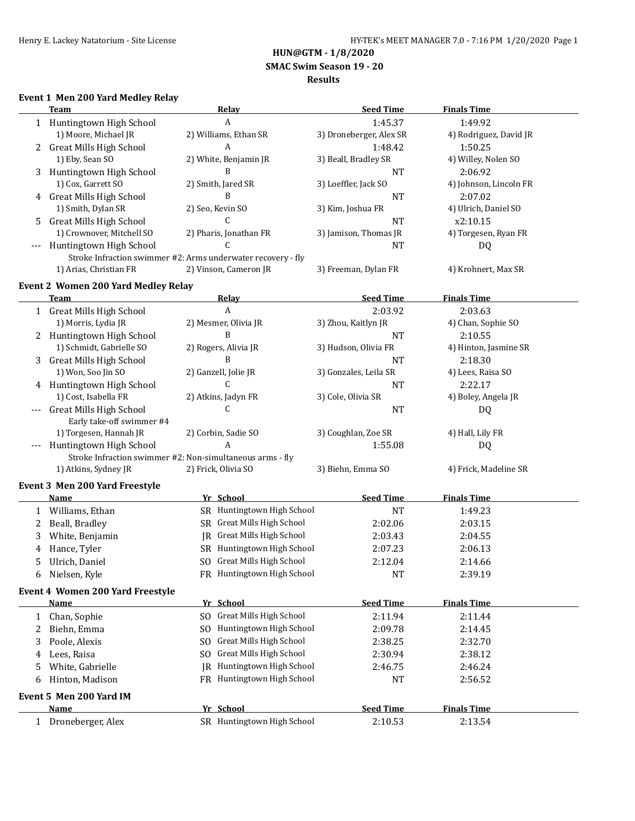**HUN@GTM - 1/8/2020**

 **SMAC Swim Season 19 - 20**

#### **Results**

# **Event 1 Men 200 Yard Medley Relay**

|     | <b>Team</b>                                | <b>Relay</b>                                                 | <b>Seed Time</b>        | <b>Finals Time</b>     |
|-----|--------------------------------------------|--------------------------------------------------------------|-------------------------|------------------------|
|     | 1 Huntingtown High School                  | A                                                            | 1:45.37                 | 1:49.92                |
|     | 1) Moore, Michael JR                       | 2) Williams, Ethan SR                                        | 3) Droneberger, Alex SR | 4) Rodriguez, David JR |
| 2   | <b>Great Mills High School</b>             | A                                                            | 1:48.42                 | 1:50.25                |
|     | 1) Eby, Sean SO                            | 2) White, Benjamin JR                                        | 3) Beall, Bradley SR    | 4) Willey, Nolen SO    |
| 3   | Huntingtown High School                    | B                                                            | <b>NT</b>               | 2:06.92                |
|     | 1) Cox, Garrett SO                         | 2) Smith, Jared SR                                           | 3) Loeffler, Jack SO    | 4) Johnson, Lincoln FR |
| 4   | <b>Great Mills High School</b>             | B                                                            | <b>NT</b>               | 2:07.02                |
|     | 1) Smith, Dylan SR                         | 2) Seo, Kevin SO                                             | 3) Kim, Joshua FR       | 4) Ulrich, Daniel SO   |
| 5.  | <b>Great Mills High School</b>             | $\mathsf{C}$                                                 | <b>NT</b>               | x2:10.15               |
|     | 1) Crownover, Mitchell SO                  | 2) Pharis, Jonathan FR                                       | 3) Jamison, Thomas JR   | 4) Torgesen, Ryan FR   |
|     | Huntingtown High School                    | C.                                                           | <b>NT</b>               | DQ                     |
|     |                                            | Stroke Infraction swimmer #2: Arms underwater recovery - fly |                         |                        |
|     | 1) Arias, Christian FR                     | 2) Vinson, Cameron JR                                        | 3) Freeman, Dylan FR    | 4) Krohnert, Max SR    |
|     |                                            |                                                              |                         |                        |
|     | <b>Event 2 Women 200 Yard Medley Relay</b> |                                                              |                         |                        |
|     | Team                                       | <u>Relav</u><br>A                                            | <b>Seed Time</b>        | <b>Finals Time</b>     |
|     | 1 Great Mills High School                  |                                                              | 2:03.92                 | 2:03.63                |
|     | 1) Morris, Lydia JR                        | 2) Mesmer, Olivia JR<br>B                                    | 3) Zhou, Kaitlyn JR     | 4) Chan, Sophie SO     |
|     | 2 Huntingtown High School                  |                                                              | <b>NT</b>               | 2:10.55                |
|     | 1) Schmidt, Gabrielle SO                   | 2) Rogers, Alivia JR                                         | 3) Hudson, Olivia FR    | 4) Hinton, Jasmine SR  |
| 3   | <b>Great Mills High School</b>             | B                                                            | <b>NT</b>               | 2:18.30                |
|     | 1) Won, Soo Jin SO                         | 2) Ganzell, Jolie JR                                         | 3) Gonzales, Leila SR   | 4) Lees, Raisa SO      |
|     | 4 Huntingtown High School                  | C                                                            | NT                      | 2:22.17                |
|     | 1) Cost, Isabella FR                       | 2) Atkins, Jadyn FR                                          | 3) Cole, Olivia SR      | 4) Boley, Angela JR    |
|     | <b>Great Mills High School</b>             | C                                                            | <b>NT</b>               | DQ                     |
|     | Early take-off swimmer #4                  |                                                              |                         |                        |
|     | 1) Torgesen, Hannah JR                     | 2) Corbin, Sadie SO                                          | 3) Coughlan, Zoe SR     | 4) Hall, Lily FR       |
| --- | Huntingtown High School                    | A                                                            | 1:55.08                 | DQ                     |
|     |                                            | Stroke Infraction swimmer #2: Non-simultaneous arms - fly    |                         |                        |
|     | 1) Atkins, Sydney JR                       | 2) Frick, Olivia SO                                          | 3) Biehn, Emma SO       | 4) Frick, Madeline SR  |
|     | Event 3 Men 200 Yard Freestyle             |                                                              |                         |                        |
|     | Name                                       | Yr School                                                    | <b>Seed Time</b>        | <b>Finals Time</b>     |
| 1   | Williams, Ethan                            | SR Huntingtown High School                                   | <b>NT</b>               | 1:49.23                |
| 2   | Beall, Bradley                             | SR Great Mills High School                                   | 2:02.06                 | 2:03.15                |
| 3   | White, Benjamin                            | <b>IR</b> Great Mills High School                            | 2:03.43                 | 2:04.55                |
| 4   | Hance, Tyler                               | SR Huntingtown High School                                   | 2:07.23                 | 2:06.13                |
| 5   | Ulrich, Daniel                             | SO Great Mills High School                                   | 2:12.04                 | 2:14.66                |
| 6   | Nielsen, Kyle                              | FR Huntingtown High School                                   | NT                      | 2:39.19                |
|     | Event 4 Women 200 Yard Freestyle           |                                                              |                         |                        |
|     | <b>Name</b>                                | Yr School                                                    | <b>Seed Time</b>        | <b>Finals Time</b>     |
| 1   | Chan, Sophie                               | SO Great Mills High School                                   | 2:11.94                 | 2:11.44                |
| 2   | Biehn, Emma                                | SO Huntingtown High School                                   | 2:09.78                 | 2:14.45                |
| 3   | Poole, Alexis                              | <b>Great Mills High School</b><br>SO.                        | 2:38.25                 | 2:32.70                |
|     |                                            | <b>Great Mills High School</b><br>SO.                        | 2:30.94                 |                        |
| 4   | Lees, Raisa                                |                                                              |                         | 2:38.12                |
| 5   | White, Gabrielle                           | JR Huntingtown High School                                   | 2:46.75                 | 2:46.24                |
| 6   | Hinton, Madison                            | FR Huntingtown High School                                   | <b>NT</b>               | 2:56.52                |
|     | Event 5 Men 200 Yard IM                    |                                                              |                         |                        |
|     | Name                                       | Yr School                                                    | <b>Seed Time</b>        | <b>Finals Time</b>     |
| 1   | Droneberger, Alex                          | SR Huntingtown High School                                   | 2:10.53                 | 2:13.54                |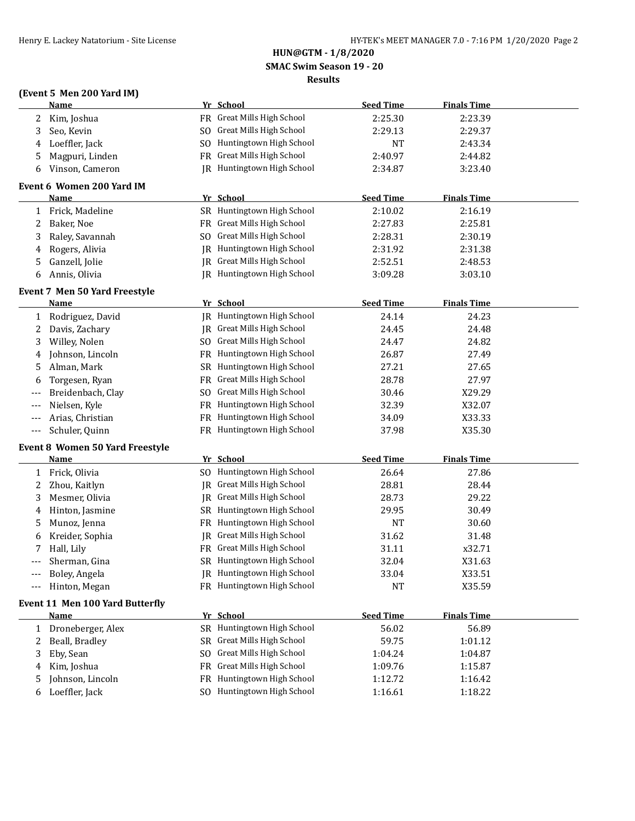# **HUN@GTM - 1/8/2020 SMAC Swim Season 19 - 20**

## **Results**

# **(Event 5 Men 200 Yard IM)**

|       | <b>Name</b>                            |    | Yr School                         | <b>Seed Time</b> | <b>Finals Time</b> |  |
|-------|----------------------------------------|----|-----------------------------------|------------------|--------------------|--|
| 2     | Kim, Joshua                            |    | FR Great Mills High School        | 2:25.30          | 2:23.39            |  |
| 3     | Seo, Kevin                             |    | SO Great Mills High School        | 2:29.13          | 2:29.37            |  |
| 4     | Loeffler, Jack                         |    | SO Huntingtown High School        | NT               | 2:43.34            |  |
| 5     | Magpuri, Linden                        |    | FR Great Mills High School        | 2:40.97          | 2:44.82            |  |
| 6     | Vinson, Cameron                        |    | JR Huntingtown High School        | 2:34.87          | 3:23.40            |  |
|       | Event 6 Women 200 Yard IM              |    |                                   |                  |                    |  |
|       | <b>Name</b>                            |    | Yr School                         | <b>Seed Time</b> | <b>Finals Time</b> |  |
| 1     | Frick, Madeline                        |    | SR Huntingtown High School        | 2:10.02          | 2:16.19            |  |
| 2     | Baker, Noe                             |    | FR Great Mills High School        | 2:27.83          | 2:25.81            |  |
| 3     | Raley, Savannah                        |    | SO Great Mills High School        | 2:28.31          | 2:30.19            |  |
| 4     | Rogers, Alivia                         |    | JR Huntingtown High School        | 2:31.92          | 2:31.38            |  |
| 5     | Ganzell, Jolie                         |    | <b>IR</b> Great Mills High School | 2:52.51          | 2:48.53            |  |
| 6     | Annis, Olivia                          |    | JR Huntingtown High School        | 3:09.28          | 3:03.10            |  |
|       | Event 7 Men 50 Yard Freestyle          |    |                                   |                  |                    |  |
|       | Name                                   |    | Yr School                         | <b>Seed Time</b> | <b>Finals Time</b> |  |
| 1     | Rodriguez, David                       |    | IR Huntingtown High School        | 24.14            | 24.23              |  |
| 2     | Davis, Zachary                         |    | JR Great Mills High School        | 24.45            | 24.48              |  |
| 3     | Willey, Nolen                          |    | SO Great Mills High School        | 24.47            | 24.82              |  |
| 4     | Johnson, Lincoln                       |    | FR Huntingtown High School        | 26.87            | 27.49              |  |
| 5     | Alman, Mark                            |    | SR Huntingtown High School        | 27.21            | 27.65              |  |
| 6     | Torgesen, Ryan                         |    | FR Great Mills High School        | 28.78            | 27.97              |  |
|       | Breidenbach, Clay                      |    | SO Great Mills High School        | 30.46            | X29.29             |  |
| ---   | Nielsen, Kyle                          |    | FR Huntingtown High School        | 32.39            | X32.07             |  |
| ---   | Arias, Christian                       |    | FR Huntingtown High School        | 34.09            | X33.33             |  |
| $---$ | Schuler, Quinn                         |    | FR Huntingtown High School        | 37.98            | X35.30             |  |
|       | <b>Event 8 Women 50 Yard Freestyle</b> |    |                                   |                  |                    |  |
|       | <u>Name</u>                            |    | Yr School                         | <b>Seed Time</b> | <b>Finals Time</b> |  |
| 1     | Frick, Olivia                          |    | SO Huntingtown High School        | 26.64            | 27.86              |  |
| 2     | Zhou, Kaitlyn                          |    | <b>IR</b> Great Mills High School | 28.81            | 28.44              |  |
| 3     | Mesmer, Olivia                         |    | JR Great Mills High School        | 28.73            | 29.22              |  |
| 4     | Hinton, Jasmine                        |    | SR Huntingtown High School        | 29.95            | 30.49              |  |
| 5     | Munoz, Jenna                           |    | FR Huntingtown High School        | <b>NT</b>        | 30.60              |  |
| 6     | Kreider, Sophia                        |    | <b>IR</b> Great Mills High School | 31.62            | 31.48              |  |
| 7     | Hall, Lily                             |    | FR Great Mills High School        | 31.11            | x32.71             |  |
| ---   | Sherman, Gina                          |    | SR Huntingtown High School        | 32.04            | X31.63             |  |
| ---   | Boley, Angela                          |    | JR Huntingtown High School        | 33.04            | X33.51             |  |
|       | Hinton, Megan                          |    | FR Huntingtown High School        | NT               | X35.59             |  |
|       | Event 11 Men 100 Yard Butterfly        |    |                                   |                  |                    |  |
|       | <b>Name</b>                            |    | Yr School                         | <b>Seed Time</b> | <b>Finals Time</b> |  |
| 1     | Droneberger, Alex                      |    | SR Huntingtown High School        | 56.02            | 56.89              |  |
| 2     | Beall, Bradley                         |    | SR Great Mills High School        | 59.75            | 1:01.12            |  |
| 3     | Eby, Sean                              | SO | Great Mills High School           | 1:04.24          | 1:04.87            |  |
| 4     | Kim, Joshua                            |    | FR Great Mills High School        | 1:09.76          | 1:15.87            |  |
| 5     | Johnson, Lincoln                       |    | FR Huntingtown High School        | 1:12.72          | 1:16.42            |  |
| 6     | Loeffler, Jack                         |    | SO Huntingtown High School        | 1:16.61          | 1:18.22            |  |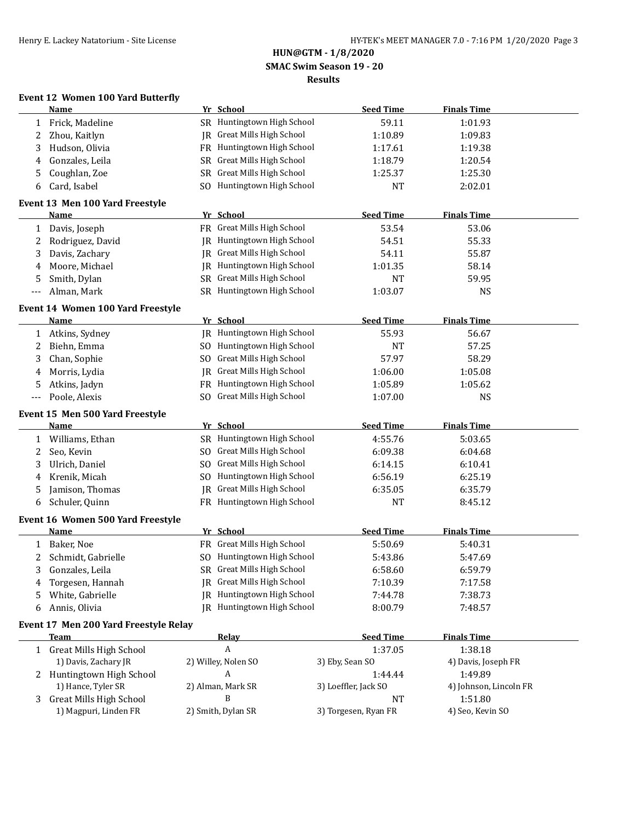# **HUN@GTM - 1/8/2020 SMAC Swim Season 19 - 20 Results**

# **Event 12 Women 100 Yard Butterfly**

|     | <b>Name</b>                                      |    | Yr School                                             | <b>Seed Time</b>     | <b>Finals Time</b>     |
|-----|--------------------------------------------------|----|-------------------------------------------------------|----------------------|------------------------|
| 1   | Frick, Madeline                                  |    | SR Huntingtown High School                            | 59.11                | 1:01.93                |
| 2   | Zhou, Kaitlyn                                    |    | JR Great Mills High School                            | 1:10.89              | 1:09.83                |
| 3   | Hudson, Olivia                                   |    | FR Huntingtown High School                            | 1:17.61              | 1:19.38                |
| 4   | Gonzales, Leila                                  |    | SR Great Mills High School                            | 1:18.79              | 1:20.54                |
| 5   | Coughlan, Zoe                                    | SR | Great Mills High School                               | 1:25.37              | 1:25.30                |
| 6   | Card, Isabel                                     |    | SO Huntingtown High School                            | <b>NT</b>            | 2:02.01                |
|     | Event 13 Men 100 Yard Freestyle                  |    |                                                       |                      |                        |
|     | Name                                             |    | Yr School                                             | <b>Seed Time</b>     | <b>Finals Time</b>     |
| 1   | Davis, Joseph                                    |    | FR Great Mills High School                            | 53.54                | 53.06                  |
| 2   | Rodriguez, David                                 |    | JR Huntingtown High School                            | 54.51                | 55.33                  |
| 3   | Davis, Zachary                                   |    | JR Great Mills High School                            | 54.11                | 55.87                  |
| 4   | Moore, Michael                                   |    | JR Huntingtown High School                            | 1:01.35              | 58.14                  |
| 5   | Smith, Dylan                                     |    | SR Great Mills High School                            | NT                   | 59.95                  |
| --- | Alman, Mark                                      |    | SR Huntingtown High School                            | 1:03.07              | <b>NS</b>              |
|     | Event 14 Women 100 Yard Freestyle                |    |                                                       |                      |                        |
|     | <b>Name</b>                                      |    | Yr School                                             | <b>Seed Time</b>     | <b>Finals Time</b>     |
| 1   | Atkins, Sydney                                   |    | JR Huntingtown High School                            | 55.93                | 56.67                  |
| 2   | Biehn, Emma                                      |    | SO Huntingtown High School                            | <b>NT</b>            | 57.25                  |
| 3   | Chan, Sophie                                     |    | SO Great Mills High School                            | 57.97                | 58.29                  |
| 4   | Morris, Lydia                                    | IR | <b>Great Mills High School</b>                        | 1:06.00              | 1:05.08                |
| 5   | Atkins, Jadyn                                    |    | FR Huntingtown High School                            | 1:05.89              | 1:05.62                |
| --- | Poole, Alexis                                    |    | SO Great Mills High School                            | 1:07.00              | <b>NS</b>              |
|     | Event 15 Men 500 Yard Freestyle                  |    |                                                       |                      |                        |
|     | <b>Name</b>                                      |    | Yr School                                             | <b>Seed Time</b>     | <b>Finals Time</b>     |
| 1   | Williams, Ethan                                  |    | SR Huntingtown High School                            | 4:55.76              | 5:03.65                |
| 2   | Seo, Kevin                                       |    | SO Great Mills High School                            | 6:09.38              | 6:04.68                |
| 3   | Ulrich, Daniel                                   |    | SO Great Mills High School                            | 6:14.15              | 6:10.41                |
| 4   | Krenik, Micah                                    |    | SO Huntingtown High School                            | 6:56.19              | 6:25.19                |
| 5   | Jamison, Thomas                                  | IR | <b>Great Mills High School</b>                        | 6:35.05              | 6:35.79                |
| 6   | Schuler, Quinn                                   |    | FR Huntingtown High School                            | <b>NT</b>            | 8:45.12                |
|     |                                                  |    |                                                       |                      |                        |
|     | Event 16 Women 500 Yard Freestyle<br><b>Name</b> |    | Yr School                                             | <b>Seed Time</b>     | <b>Finals Time</b>     |
|     | Baker, Noe                                       |    | FR Great Mills High School                            | 5:50.69              | 5:40.31                |
| 1   |                                                  |    | SO Huntingtown High School                            |                      |                        |
| 2   | Schmidt, Gabrielle                               |    | SR Great Mills High School                            | 5:43.86              | 5:47.69                |
| 3   | Gonzales, Leila                                  |    | IR Great Mills High School                            | 6:58.60              | 6:59.79                |
| 4   | Torgesen, Hannah                                 |    |                                                       | 7:10.39              | 7:17.58                |
| 5   | White, Gabrielle                                 | IR | Huntingtown High School<br>IR Huntingtown High School | 7:44.78              | 7:38.73                |
| 6   | Annis, Olivia                                    |    |                                                       | 8:00.79              | 7:48.57                |
|     | Event 17 Men 200 Yard Freestyle Relay            |    |                                                       |                      |                        |
|     | <b>Team</b>                                      |    | <b>Relay</b>                                          | <b>Seed Time</b>     | <b>Finals Time</b>     |
| 1   | <b>Great Mills High School</b>                   |    | $\boldsymbol{A}$                                      | 1:37.05              | 1:38.18                |
|     | 1) Davis, Zachary JR                             |    | 2) Willey, Nolen SO                                   | 3) Eby, Sean SO      | 4) Davis, Joseph FR    |
| 2   | Huntingtown High School                          |    | A                                                     | 1:44.44              | 1:49.89                |
|     | 1) Hance, Tyler SR                               |    | 2) Alman, Mark SR                                     | 3) Loeffler, Jack SO | 4) Johnson, Lincoln FR |
| 3   | <b>Great Mills High School</b>                   |    | B                                                     | NT                   | 1:51.80                |
|     | 1) Magpuri, Linden FR                            |    | 2) Smith, Dylan SR                                    | 3) Torgesen, Ryan FR | 4) Seo, Kevin SO       |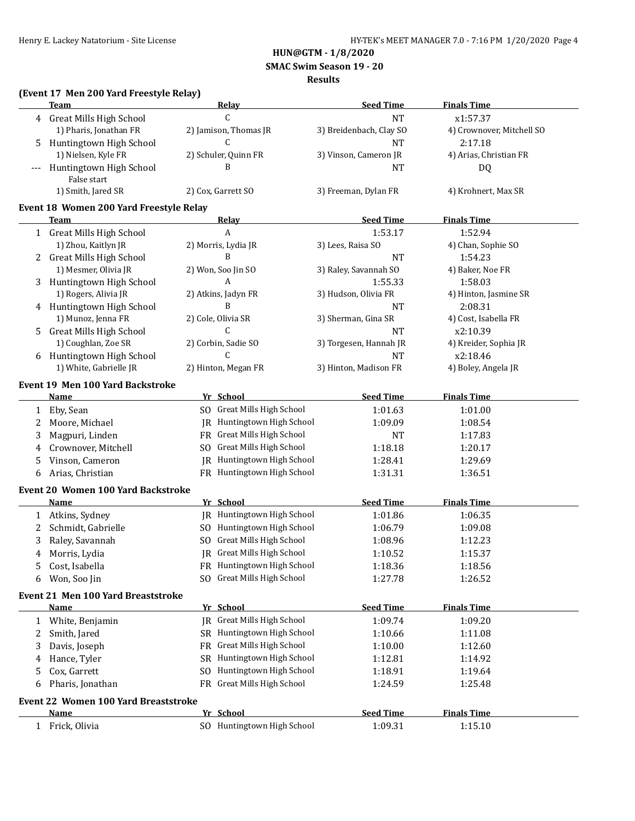**HUN@GTM - 1/8/2020**

 **SMAC Swim Season 19 - 20**

#### **Results**

# **(Event 17 Men 200 Yard Freestyle Relay)**

|              | <b>Team</b>                                 | <b>Relay</b>                      | <b>Seed Time</b>        | <b>Finals Time</b>        |
|--------------|---------------------------------------------|-----------------------------------|-------------------------|---------------------------|
|              | 4 Great Mills High School                   | $\mathsf{C}$                      | <b>NT</b>               | x1:57.37                  |
|              | 1) Pharis, Jonathan FR                      | 2) Jamison, Thomas JR             | 3) Breidenbach, Clay SO | 4) Crownover, Mitchell SO |
| 5            | Huntingtown High School                     | C                                 | <b>NT</b>               | 2:17.18                   |
|              | 1) Nielsen, Kyle FR                         | 2) Schuler, Quinn FR              | 3) Vinson, Cameron JR   | 4) Arias, Christian FR    |
|              | Huntingtown High School                     | B                                 | <b>NT</b>               | DQ                        |
|              | False start                                 |                                   |                         |                           |
|              | 1) Smith, Jared SR                          | 2) Cox, Garrett SO                | 3) Freeman, Dylan FR    | 4) Krohnert, Max SR       |
|              | Event 18 Women 200 Yard Freestyle Relay     |                                   |                         |                           |
|              | <u>Team</u>                                 | <b>Relay</b>                      | <b>Seed Time</b>        | <b>Finals Time</b>        |
| $\mathbf{1}$ | <b>Great Mills High School</b>              | A                                 | 1:53.17                 | 1:52.94                   |
|              | 1) Zhou, Kaitlyn JR                         | 2) Morris, Lydia JR               | 3) Lees, Raisa SO       | 4) Chan, Sophie SO        |
| 2            | <b>Great Mills High School</b>              | B                                 | <b>NT</b>               | 1:54.23                   |
|              | 1) Mesmer, Olivia JR                        | 2) Won, Soo Jin SO                | 3) Raley, Savannah SO   | 4) Baker, Noe FR          |
| 3            | Huntingtown High School                     | A                                 | 1:55.33                 | 1:58.03                   |
|              | 1) Rogers, Alivia JR                        | 2) Atkins, Jadyn FR               | 3) Hudson, Olivia FR    | 4) Hinton, Jasmine SR     |
|              | 4 Huntingtown High School                   | B                                 | NT                      | 2:08.31                   |
|              | 1) Munoz, Jenna FR                          | 2) Cole, Olivia SR                | 3) Sherman, Gina SR     | 4) Cost, Isabella FR      |
| 5            | <b>Great Mills High School</b>              | C                                 | NT                      | x2:10.39                  |
|              | 1) Coughlan, Zoe SR                         | 2) Corbin, Sadie SO               | 3) Torgesen, Hannah JR  | 4) Kreider, Sophia JR     |
| 6            | Huntingtown High School                     | C                                 | NT                      | x2:18.46                  |
|              | 1) White, Gabrielle JR                      | 2) Hinton, Megan FR               | 3) Hinton, Madison FR   | 4) Boley, Angela JR       |
|              |                                             |                                   |                         |                           |
|              | <b>Event 19 Men 100 Yard Backstroke</b>     |                                   |                         |                           |
|              | <b>Name</b>                                 | Yr School                         | <b>Seed Time</b>        | <b>Finals Time</b>        |
| $\mathbf{1}$ | Eby, Sean                                   | SO Great Mills High School        | 1:01.63                 | 1:01.00                   |
| 2            | Moore, Michael                              | JR Huntingtown High School        | 1:09.09                 | 1:08.54                   |
| 3            | Magpuri, Linden                             | FR Great Mills High School        | <b>NT</b>               | 1:17.83                   |
| 4            | Crownover, Mitchell                         | SO Great Mills High School        | 1:18.18                 | 1:20.17                   |
| 5            | Vinson, Cameron                             | JR Huntingtown High School        | 1:28.41                 | 1:29.69                   |
| 6            | Arias, Christian                            | FR Huntingtown High School        | 1:31.31                 | 1:36.51                   |
|              | Event 20 Women 100 Yard Backstroke          |                                   |                         |                           |
|              | Name                                        | Yr School                         | <b>Seed Time</b>        | <b>Finals Time</b>        |
| $\mathbf{1}$ | Atkins, Sydney                              | JR Huntingtown High School        | 1:01.86                 | 1:06.35                   |
| 2            | Schmidt, Gabrielle                          | SO Huntingtown High School        | 1:06.79                 | 1:09.08                   |
| 3            | Raley, Savannah                             | SO Great Mills High School        | 1:08.96                 | 1:12.23                   |
| 4            | Morris, Lydia                               | <b>IR</b> Great Mills High School | 1:10.52                 | 1:15.37                   |
|              | Cost, Isabella                              | FR Huntingtown High School        | 1:18.36                 | 1:18.56                   |
| 6            | Won, Soo Jin                                | SO Great Mills High School        | 1:27.78                 | 1:26.52                   |
|              |                                             |                                   |                         |                           |
|              | Event 21 Men 100 Yard Breaststroke          |                                   |                         |                           |
|              | Name                                        | Yr School                         | <b>Seed Time</b>        | <b>Finals Time</b>        |
| 1            | White, Benjamin                             | IR Great Mills High School        | 1:09.74                 | 1:09.20                   |
| 2            | Smith, Jared                                | SR Huntingtown High School        | 1:10.66                 | 1:11.08                   |
| 3            | Davis, Joseph                               | FR Great Mills High School        | 1:10.00                 | 1:12.60                   |
| 4            | Hance, Tyler                                | SR Huntingtown High School        | 1:12.81                 | 1:14.92                   |
| 5            | Cox, Garrett                                | SO Huntingtown High School        | 1:18.91                 | 1:19.64                   |
| 6            | Pharis, Jonathan                            | FR Great Mills High School        | 1:24.59                 | 1:25.48                   |
|              | <b>Event 22 Women 100 Yard Breaststroke</b> |                                   |                         |                           |
|              | Name                                        | Yr School                         | <b>Seed Time</b>        | <b>Finals Time</b>        |
|              | 1 Frick, Olivia                             | SO Huntingtown High School        | 1:09.31                 | 1:15.10                   |
|              |                                             |                                   |                         |                           |